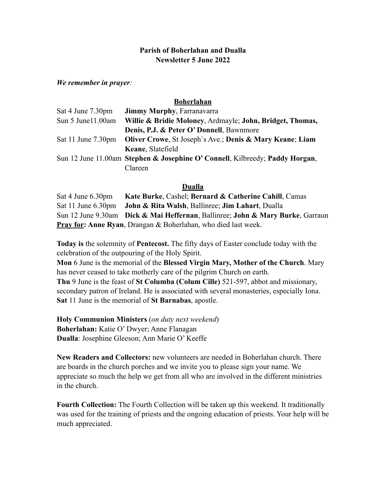## **Parish of Boherlahan and Dualla Newsletter 5 June 2022**

*We remember in prayer:* 

## **Boherlahan**

| Sat 4 June 7.30pm  | <b>Jimmy Murphy, Farranavarra</b>                                            |
|--------------------|------------------------------------------------------------------------------|
| Sun 5 June 11.00am | Willie & Bridie Moloney, Ardmayle; John, Bridget, Thomas,                    |
|                    | Denis, P.J. & Peter O' Donnell, Bawnmore                                     |
| Sat 11 June 7.30pm | <b>Oliver Crowe, St Joseph's Ave.; Denis &amp; Mary Keane; Liam</b>          |
|                    | Keane, Slatefield                                                            |
|                    | Sun 12 June 11.00am Stephen & Josephine O' Connell, Kilbreedy; Paddy Horgan, |
|                    | Clareen                                                                      |

## **Dualla**

| Sat 4 June 6.30pm | Kate Burke, Cashel; Bernard & Catherine Cahill, Camas                          |
|-------------------|--------------------------------------------------------------------------------|
|                   | Sat 11 June 6.30pm John & Rita Walsh, Ballinree; Jim Lahart, Dualla            |
|                   | Sun 12 June 9.30am Dick & Mai Heffernan, Ballinree; John & Mary Burke, Garraun |
|                   | <b>Pray for: Anne Ryan</b> , Drangan & Boherlahan, who died last week.         |

**Today is** the solemnity of **Pentecost.** The fifty days of Easter conclude today with the celebration of the outpouring of the Holy Spirit.

**Mon** 6 June is the memorial of the **Blessed Virgin Mary, Mother of the Church**. Mary has never ceased to take motherly care of the pilgrim Church on earth.

**Thu** 9 June is the feast of **St Columba (Colum Cille)** 521-597, abbot and missionary, secondary patron of Ireland. He is associated with several monasteries, especially Iona. **Sat** 11 June is the memorial of **St Barnabas**, apostle.

**Holy Communion Ministers** (*on duty next weekend*) **Boherlahan:** Katie O' Dwyer; Anne Flanagan **Dualla**: Josephine Gleeson; Ann Marie O' Keeffe

**New Readers and Collectors:** new volunteers are needed in Boherlahan church. There are boards in the church porches and we invite you to please sign your name. We appreciate so much the help we get from all who are involved in the different ministries in the church.

**Fourth Collection:** The Fourth Collection will be taken up this weekend. It traditionally was used for the training of priests and the ongoing education of priests. Your help will be much appreciated.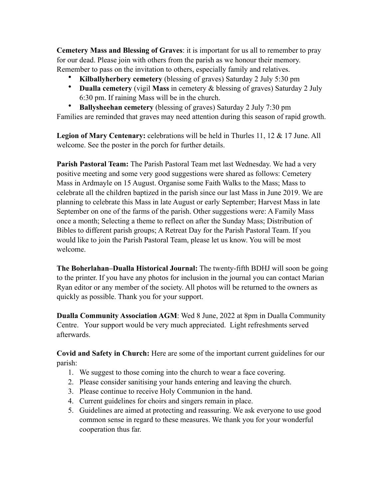**Cemetery Mass and Blessing of Graves**: it is important for us all to remember to pray for our dead. Please join with others from the parish as we honour their memory. Remember to pass on the invitation to others, especially family and relatives.

- **Kilballyherbery cemetery** (blessing of graves) Saturday 2 July 5:30 pm
- **Dualla cemetery** (vigil **Mass** in cemetery & blessing of graves) Saturday 2 July 6:30 pm. If raining Mass will be in the church.
- **Ballysheehan cemetery** (blessing of graves) Saturday 2 July 7:30 pm

Families are reminded that graves may need attention during this season of rapid growth.

**Legion of Mary Centenary:** celebrations will be held in Thurles 11, 12 & 17 June. All welcome. See the poster in the porch for further details.

**Parish Pastoral Team:** The Parish Pastoral Team met last Wednesday. We had a very positive meeting and some very good suggestions were shared as follows: Cemetery Mass in Ardmayle on 15 August. Organise some Faith Walks to the Mass; Mass to celebrate all the children baptized in the parish since our last Mass in June 2019. We are planning to celebrate this Mass in late August or early September; Harvest Mass in late September on one of the farms of the parish. Other suggestions were: A Family Mass once a month; Selecting a theme to reflect on after the Sunday Mass; Distribution of Bibles to different parish groups; A Retreat Day for the Parish Pastoral Team. If you would like to join the Parish Pastoral Team, please let us know. You will be most welcome.

**The Boherlahan–Dualla Historical Journal:** The twenty-fifth BDHJ will soon be going to the printer. If you have any photos for inclusion in the journal you can contact Marian Ryan editor or any member of the society. All photos will be returned to the owners as quickly as possible. Thank you for your support.

**Dualla Community Association AGM**: Wed 8 June, 2022 at 8pm in Dualla Community Centre. Your support would be very much appreciated. Light refreshments served afterwards.

**Covid and Safety in Church:** Here are some of the important current guidelines for our parish:

- 1. We suggest to those coming into the church to wear a face covering.
- 2. Please consider sanitising your hands entering and leaving the church.
- 3. Please continue to receive Holy Communion in the hand.
- 4. Current guidelines for choirs and singers remain in place.
- 5. Guidelines are aimed at protecting and reassuring. We ask everyone to use good common sense in regard to these measures. We thank you for your wonderful cooperation thus far.